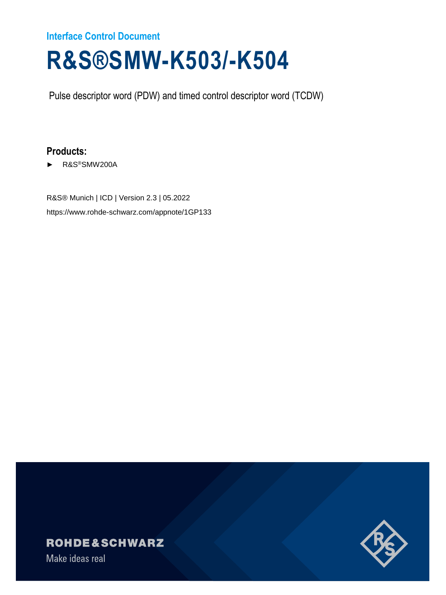# **Interface Control Document**

# **R&S®SMW-K503/-K504**

Pulse descriptor word (PDW) and timed control descriptor word (TCDW)

# **Products:**

► R&S®SMW200A

R&S® Munich | ICD | Version 2.3 | 05.2022 https://www.rohde-schwarz.com/appnote/1GP133

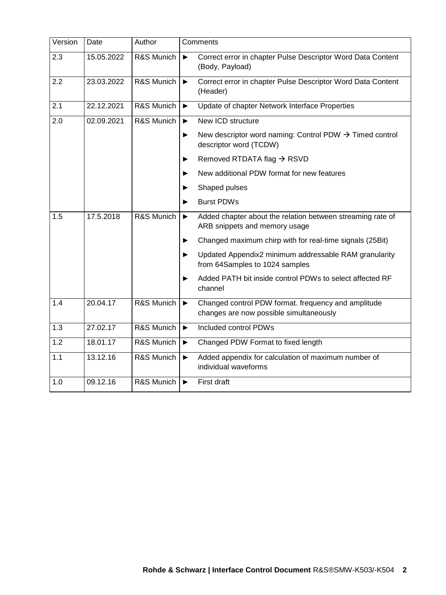| Version | Date       | Author     | Comments                                                                                                             |
|---------|------------|------------|----------------------------------------------------------------------------------------------------------------------|
| 2.3     | 15.05.2022 | R&S Munich | Correct error in chapter Pulse Descriptor Word Data Content<br>$\blacktriangleright$<br>(Body, Payload)              |
| 2.2     | 23.03.2022 | R&S Munich | Correct error in chapter Pulse Descriptor Word Data Content<br>$\blacktriangleright$<br>(Header)                     |
| 2.1     | 22.12.2021 | R&S Munich | Update of chapter Network Interface Properties<br>$\blacktriangleright$                                              |
| 2.0     | 02.09.2021 | R&S Munich | New ICD structure<br>$\blacktriangleright$                                                                           |
|         |            |            | New descriptor word naming: Control PDW $\rightarrow$ Timed control<br>▶<br>descriptor word (TCDW)                   |
|         |            |            | Removed RTDATA flag > RSVD<br>▶                                                                                      |
|         |            |            | New additional PDW format for new features<br>▶                                                                      |
|         |            |            | Shaped pulses<br>▶                                                                                                   |
|         |            |            | <b>Burst PDWs</b><br>▶                                                                                               |
| 1.5     | 17.5.2018  | R&S Munich | Added chapter about the relation between streaming rate of<br>$\blacktriangleright$<br>ARB snippets and memory usage |
|         |            |            | Changed maximum chirp with for real-time signals (25Bit)<br>▶                                                        |
|         |            |            | Updated Appendix2 minimum addressable RAM granularity<br>▶<br>from 64Samples to 1024 samples                         |
|         |            |            | Added PATH bit inside control PDWs to select affected RF<br>▶<br>channel                                             |
| 1.4     | 20.04.17   | R&S Munich | Changed control PDW format. frequency and amplitude<br>▶<br>changes are now possible simultaneously                  |
| 1.3     | 27.02.17   | R&S Munich | Included control PDWs<br>$\blacktriangleright$                                                                       |
| 1.2     | 18.01.17   | R&S Munich | Changed PDW Format to fixed length<br>$\blacktriangleright$                                                          |
| 1.1     | 13.12.16   | R&S Munich | Added appendix for calculation of maximum number of<br>$\blacktriangleright$<br>individual waveforms                 |
| 1.0     | 09.12.16   | R&S Munich | First draft<br>$\blacktriangleright$                                                                                 |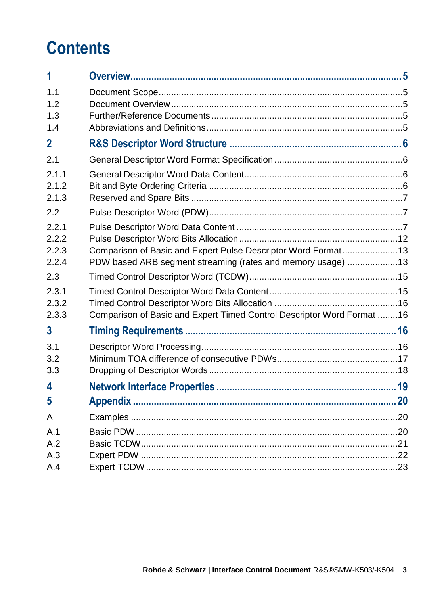# **Contents**

| 1                                |                                                                                                                              |
|----------------------------------|------------------------------------------------------------------------------------------------------------------------------|
| 1.1<br>1.2<br>1.3<br>1.4         |                                                                                                                              |
| $\mathbf 2$                      |                                                                                                                              |
| 2.1                              |                                                                                                                              |
| 2.1.1<br>2.1.2<br>2.1.3          |                                                                                                                              |
| 2.2                              |                                                                                                                              |
| 2.2.1<br>2.2.2<br>2.2.3<br>2.2.4 | Comparison of Basic and Expert Pulse Descriptor Word Format13<br>PDW based ARB segment streaming (rates and memory usage) 13 |
| 2.3                              |                                                                                                                              |
| 2.3.1<br>2.3.2<br>2.3.3          | Comparison of Basic and Expert Timed Control Descriptor Word Format 16                                                       |
| $\mathbf{3}$                     |                                                                                                                              |
| 3.1<br>3.2<br>3.3                |                                                                                                                              |
| 4                                |                                                                                                                              |
| 5                                | 20                                                                                                                           |
| A                                |                                                                                                                              |
| A.1<br>A.2<br>A.3<br>A.4         |                                                                                                                              |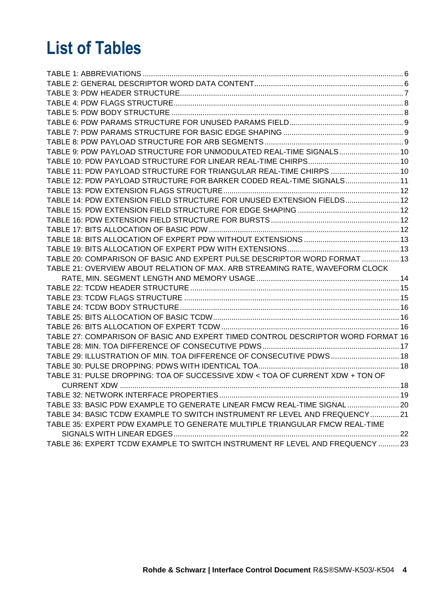# **List of Tables**

| TABLE 9: PDW PAYLOAD STRUCTURE FOR UNMODULATED REAL-TIME SIGNALS 10              |  |
|----------------------------------------------------------------------------------|--|
|                                                                                  |  |
| TABLE 11: PDW PAYLOAD STRUCTURE FOR TRIANGULAR REAL-TIME CHIRPS  10              |  |
| TABLE 12: PDW PAYLOAD STRUCTURE FOR BARKER CODED REAL-TIME SIGNALS 11            |  |
|                                                                                  |  |
| TABLE 14: PDW EXTENSION FIELD STRUCTURE FOR UNUSED EXTENSION FIELDS 12           |  |
|                                                                                  |  |
|                                                                                  |  |
|                                                                                  |  |
|                                                                                  |  |
|                                                                                  |  |
| TABLE 20: COMPARISON OF BASIC AND EXPERT PULSE DESCRIPTOR WORD FORMAT  13        |  |
| TABLE 21: OVERVIEW ABOUT RELATION OF MAX. ARB STREAMING RATE, WAVEFORM CLOCK     |  |
|                                                                                  |  |
|                                                                                  |  |
|                                                                                  |  |
|                                                                                  |  |
|                                                                                  |  |
|                                                                                  |  |
| TABLE 27: COMPARISON OF BASIC AND EXPERT TIMED CONTROL DESCRIPTOR WORD FORMAT 16 |  |
|                                                                                  |  |
| TABLE 29: ILLUSTRATION OF MIN. TOA DIFFERENCE OF CONSECUTIVE PDWS 18             |  |
|                                                                                  |  |
| TABLE 31: PULSE DROPPING: TOA OF SUCCESSIVE XDW < TOA OF CURRENT XDW + TON OF    |  |
|                                                                                  |  |
|                                                                                  |  |
| TABLE 33: BASIC PDW EXAMPLE TO GENERATE LINEAR FMCW REAL-TIME SIGNAL  20         |  |
| TABLE 34: BASIC TCDW EXAMPLE TO SWITCH INSTRUMENT RF LEVEL AND FREQUENCY 21      |  |
| TABLE 35: EXPERT PDW EXAMPLE TO GENERATE MULTIPLE TRIANGULAR FMCW REAL-TIME      |  |
|                                                                                  |  |
| TABLE 36: EXPERT TCDW EXAMPLE TO SWITCH INSTRUMENT RF LEVEL AND FREQUENCY  23    |  |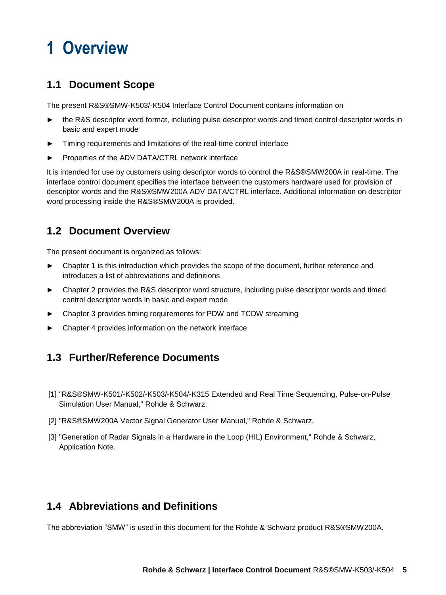# <span id="page-4-0"></span>**1 Overview**

# <span id="page-4-1"></span>**1.1 Document Scope**

The present R&S®SMW-K503/-K504 Interface Control Document contains information on

- the R&S descriptor word format, including pulse descriptor words and timed control descriptor words in basic and expert mode
- Timing requirements and limitations of the real-time control interface
- Properties of the ADV DATA/CTRL network interface

It is intended for use by customers using descriptor words to control the R&S®SMW200A in real-time. The interface control document specifies the interface between the customers hardware used for provision of descriptor words and the R&S®SMW200A ADV DATA/CTRL interface. Additional information on descriptor word processing inside the R&S®SMW200A is provided.

## <span id="page-4-2"></span>**1.2 Document Overview**

The present document is organized as follows:

- ► Chapter 1 is this introduction which provides the scope of the document, further reference and introduces a list of abbreviations and definitions
- ► Chapter 2 provides the R&S descriptor word structure, including pulse descriptor words and timed control descriptor words in basic and expert mode
- ► Chapter 3 provides timing requirements for PDW and TCDW streaming
- Chapter 4 provides information on the network interface

## <span id="page-4-3"></span>**1.3 Further/Reference Documents**

- [1] "R&S®SMW-K501/-K502/-K503/-K504/-K315 Extended and Real Time Sequencing, Pulse-on-Pulse Simulation User Manual," Rohde & Schwarz.
- [2] "R&S®SMW200A Vector Signal Generator User Manual," Rohde & Schwarz.
- [3] "Generation of Radar Signals in a Hardware in the Loop (HIL) Environment," Rohde & Schwarz, Application Note.

## <span id="page-4-4"></span>**1.4 Abbreviations and Definitions**

The abbreviation "SMW" is used in this document for the Rohde & Schwarz product R&S®SMW200A.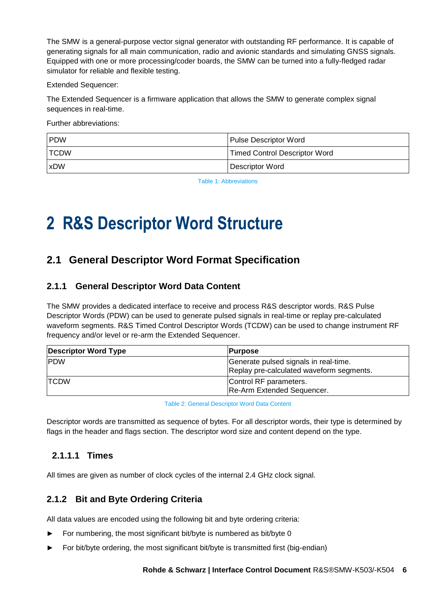The SMW is a general-purpose vector signal generator with outstanding RF performance. It is capable of generating signals for all main communication, radio and avionic standards and simulating GNSS signals. Equipped with one or more processing/coder boards, the SMW can be turned into a fully-fledged radar simulator for reliable and flexible testing.

Extended Sequencer:

The Extended Sequencer is a firmware application that allows the SMW to generate complex signal sequences in real-time.

Further abbreviations:

| <b>IPDW</b>  | <b>Pulse Descriptor Word</b>         |
|--------------|--------------------------------------|
| <b>ITCDW</b> | <b>Timed Control Descriptor Word</b> |
| <b>xDW</b>   | Descriptor Word                      |

Table 1: Abbreviations

# <span id="page-5-4"></span><span id="page-5-0"></span>**2 R&S Descriptor Word Structure**

## <span id="page-5-1"></span>**2.1 General Descriptor Word Format Specification**

## <span id="page-5-2"></span>**2.1.1 General Descriptor Word Data Content**

The SMW provides a dedicated interface to receive and process R&S descriptor words. R&S Pulse Descriptor Words (PDW) can be used to generate pulsed signals in real-time or replay pre-calculated waveform segments. R&S Timed Control Descriptor Words (TCDW) can be used to change instrument RF frequency and/or level or re-arm the Extended Sequencer.

| <b>Descriptor Word Type</b> | <b>Purpose</b>                                                                    |
|-----------------------------|-----------------------------------------------------------------------------------|
| <b>IPDW</b>                 | Generate pulsed signals in real-time.<br>Replay pre-calculated waveform segments. |
| <b>ITCDW</b>                | Control RF parameters.<br>Re-Arm Extended Sequencer.                              |

<span id="page-5-5"></span>Descriptor words are transmitted as sequence of bytes. For all descriptor words, their type is determined by flags in the header and flags section. The descriptor word size and content depend on the type.

## **2.1.1.1 Times**

All times are given as number of clock cycles of the internal 2.4 GHz clock signal.

## <span id="page-5-3"></span>**2.1.2 Bit and Byte Ordering Criteria**

All data values are encoded using the following bit and byte ordering criteria:

- For numbering, the most significant bit/byte is numbered as bit/byte 0
- For bit/byte ordering, the most significant bit/byte is transmitted first (big-endian)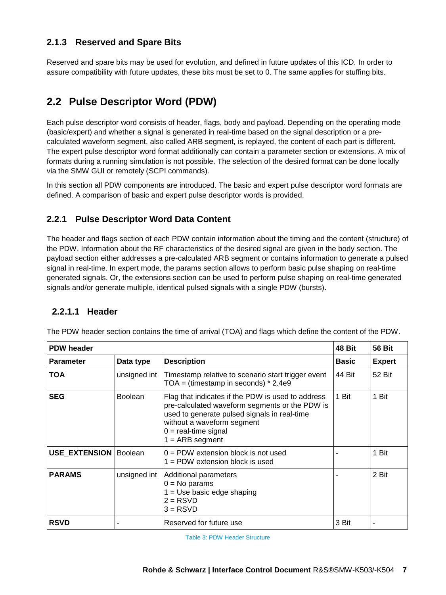## <span id="page-6-0"></span>**2.1.3 Reserved and Spare Bits**

Reserved and spare bits may be used for evolution, and defined in future updates of this ICD. In order to assure compatibility with future updates, these bits must be set to 0. The same applies for stuffing bits.

## <span id="page-6-1"></span>**2.2 Pulse Descriptor Word (PDW)**

Each pulse descriptor word consists of header, flags, body and payload. Depending on the operating mode (basic/expert) and whether a signal is generated in real-time based on the signal description or a precalculated waveform segment, also called ARB segment, is replayed, the content of each part is different. The expert pulse descriptor word format additionally can contain a parameter section or extensions. A mix of formats during a running simulation is not possible. The selection of the desired format can be done locally via the SMW GUI or remotely (SCPI commands).

In this section all PDW components are introduced. The basic and expert pulse descriptor word formats are defined. A comparison of basic and expert pulse descriptor words is provided.

#### <span id="page-6-2"></span>**2.2.1 Pulse Descriptor Word Data Content**

The header and flags section of each PDW contain information about the timing and the content (structure) of the PDW. Information about the RF characteristics of the desired signal are given in the body section. The payload section either addresses a pre-calculated ARB segment or contains information to generate a pulsed signal in real-time. In expert mode, the params section allows to perform basic pulse shaping on real-time generated signals. Or, the extensions section can be used to perform pulse shaping on real-time generated signals and/or generate multiple, identical pulsed signals with a single PDW (bursts).

#### **2.2.1.1 Header**

| 48 Bit<br><b>PDW header</b> |                |                                                                                                                                                                                                                                  |              | <b>56 Bit</b> |
|-----------------------------|----------------|----------------------------------------------------------------------------------------------------------------------------------------------------------------------------------------------------------------------------------|--------------|---------------|
| <b>Parameter</b>            | Data type      | <b>Description</b>                                                                                                                                                                                                               | <b>Basic</b> | <b>Expert</b> |
| TOA                         | unsigned int   | Timestamp relative to scenario start trigger event<br>$TOA = (time stamp in seconds) * 2.4e9$                                                                                                                                    | 44 Bit       | 52 Bit        |
| <b>SEG</b>                  | <b>Boolean</b> | Flag that indicates if the PDW is used to address<br>pre-calculated waveform segments or the PDW is<br>used to generate pulsed signals in real-time<br>without a waveform segment<br>$0 =$ real-time signal<br>$1 = ARB segment$ | 1 Bit        | 1 Bit         |
| USE EXTENSION               | <b>Boolean</b> | $0 =$ PDW extension block is not used<br>$1 =$ PDW extension block is used                                                                                                                                                       |              | 1 Bit         |
| <b>PARAMS</b>               | unsigned int   | Additional parameters<br>$0 = No$ params<br>$1 = Use basic edge shaping$<br>$2 = RSVD$<br>$3 = RSVD$                                                                                                                             |              | 2 Bit         |
| <b>RSVD</b>                 |                | Reserved for future use                                                                                                                                                                                                          | 3 Bit        |               |

The PDW header section contains the time of arrival (TOA) and flags which define the content of the PDW.

<span id="page-6-3"></span>Table 3: PDW Header Structure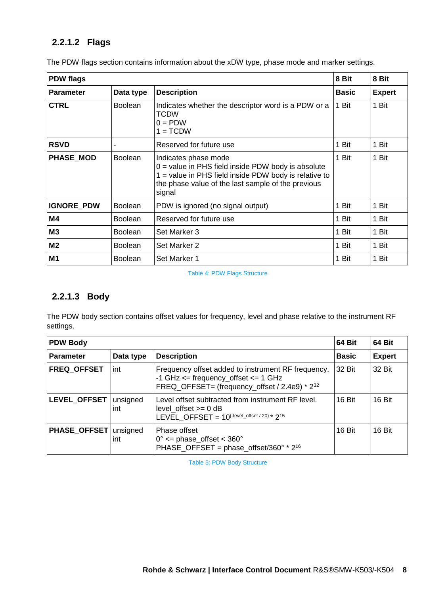## **2.2.1.2 Flags**

| <b>PDW flags</b><br>8 Bit   |                |                                                                                                                                                                                                       |              | 8 Bit         |
|-----------------------------|----------------|-------------------------------------------------------------------------------------------------------------------------------------------------------------------------------------------------------|--------------|---------------|
| <b>Parameter</b>            | Data type      | <b>Description</b>                                                                                                                                                                                    | <b>Basic</b> | <b>Expert</b> |
| <b>CTRL</b>                 | <b>Boolean</b> | Indicates whether the descriptor word is a PDW or a<br><b>TCDW</b><br>$0 = PDW$<br>$1 = TCDW$                                                                                                         | 1 Bit        | 1 Bit         |
| <b>RSVD</b>                 |                | Reserved for future use                                                                                                                                                                               | 1 Bit        | 1 Bit         |
| PHASE_MOD<br><b>Boolean</b> |                | Indicates phase mode<br>$0 =$ value in PHS field inside PDW body is absolute<br>1 = value in PHS field inside PDW body is relative to<br>the phase value of the last sample of the previous<br>signal | 1 Bit        | 1 Bit         |
| <b>IGNORE PDW</b>           | <b>Boolean</b> | PDW is ignored (no signal output)                                                                                                                                                                     | 1 Bit        | 1 Bit         |
| M4                          | <b>Boolean</b> | Reserved for future use                                                                                                                                                                               | 1 Bit        | 1 Bit         |
| M3                          | <b>Boolean</b> | Set Marker 3                                                                                                                                                                                          | 1 Bit        | 1 Bit         |
| M <sub>2</sub>              | <b>Boolean</b> | Set Marker 2                                                                                                                                                                                          | 1 Bit        | 1 Bit         |
| M <sub>1</sub>              | <b>Boolean</b> | Set Marker 1                                                                                                                                                                                          | 1 Bit        | 1 Bit         |

The PDW flags section contains information about the xDW type, phase mode and marker settings.

Table 4: PDW Flags Structure

### <span id="page-7-0"></span>**2.2.1.3 Body**

The PDW body section contains offset values for frequency, level and phase relative to the instrument RF settings.

<span id="page-7-1"></span>

| <b>PDW Body</b>     |                 |                                                                                                                                                                  | 64 Bit       | 64 Bit        |
|---------------------|-----------------|------------------------------------------------------------------------------------------------------------------------------------------------------------------|--------------|---------------|
| <b>Parameter</b>    | Data type       | <b>Description</b>                                                                                                                                               | <b>Basic</b> | <b>Expert</b> |
| <b>FREQ OFFSET</b>  | int             | Frequency offset added to instrument RF frequency.<br>-1 GHz $\le$ = frequency_offset $\le$ = 1 GHz<br>FREQ_OFFSET= (frequency_offset / 2.4e9) * 2 <sup>32</sup> | 32 Bit       | 32 Bit        |
| LEVEL_OFFSET        | unsigned<br>int | Level offset subtracted from instrument RF level.<br>level offset $>= 0$ dB<br>LEVEL_OFFSET = $10$ <sup>(-level_offset / 20) *</sup> 2 <sup>15</sup>             | 16 Bit       | 16 Bit        |
| <b>PHASE OFFSET</b> | unsigned<br>int | Phase offset<br>$0^{\circ}$ <= phase_offset < 360 $^{\circ}$<br>PHASE_OFFSET = phase_offset/360 $\degree$ * 2 <sup>16</sup>                                      | 16 Bit       | 16 Bit        |

Table 5: PDW Body Structure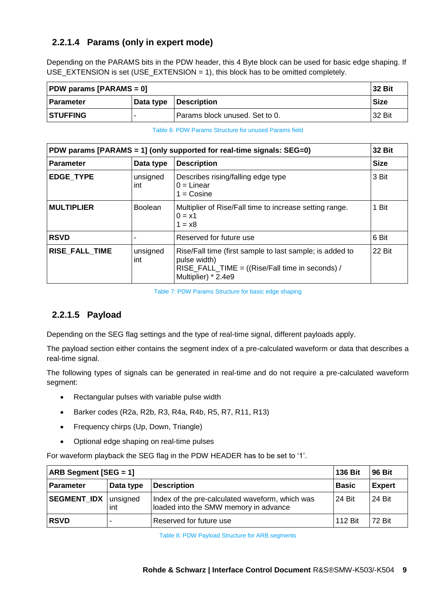## **2.2.1.4 Params (only in expert mode)**

Depending on the PARAMS bits in the PDW header, this 4 Byte block can be used for basic edge shaping. If USE\_EXTENSION is set (USE\_EXTENSION = 1), this block has to be omitted completely.

| <b>32 Bit</b><br><b>PDW params [PARAMS = 0]</b>       |  |                                |             |
|-------------------------------------------------------|--|--------------------------------|-------------|
| <b>Description</b><br><b>Data type</b><br>l Parameter |  |                                | <b>Size</b> |
| <b>STUFFING</b>                                       |  | Params block unused. Set to 0. | 32 Bit      |

#### Table 6: PDW Params Structure for unused Params field

<span id="page-8-0"></span>

| PDW params [PARAMS = 1] (only supported for real-time signals: SEG=0) |                 |                                                                                                                                                    |             |
|-----------------------------------------------------------------------|-----------------|----------------------------------------------------------------------------------------------------------------------------------------------------|-------------|
| <b>Parameter</b>                                                      | Data type       | <b>Description</b>                                                                                                                                 | <b>Size</b> |
| <b>EDGE TYPE</b>                                                      | unsigned<br>int | Describes rising/falling edge type<br>$0 =$ Linear<br>$1 = Cosine$                                                                                 | 3 Bit       |
| <b>MULTIPLIER</b>                                                     | <b>Boolean</b>  | Multiplier of Rise/Fall time to increase setting range.<br>$0 = x1$<br>$1 = x8$                                                                    | 1 Bit       |
| <b>RSVD</b>                                                           |                 | Reserved for future use                                                                                                                            | 6 Bit       |
| <b>RISE FALL TIME</b>                                                 | unsigned<br>int | Rise/Fall time (first sample to last sample; is added to<br>pulse width)<br>RISE_FALL_TIME = ((Rise/Fall time in seconds) /<br>Multiplier) * 2.4e9 | 22 Bit      |

Table 7: PDW Params Structure for basic edge shaping

#### <span id="page-8-1"></span>**2.2.1.5 Payload**

Depending on the SEG flag settings and the type of real-time signal, different payloads apply.

The payload section either contains the segment index of a pre-calculated waveform or data that describes a real-time signal.

The following types of signals can be generated in real-time and do not require a pre-calculated waveform segment:

- Rectangular pulses with variable pulse width
- Barker codes (R2a, R2b, R3, R4a, R4b, R5, R7, R11, R13)
- Frequency chirps (Up, Down, Triangle)
- Optional edge shaping on real-time pulses

For waveform playback the SEG flag in the PDW HEADER has to be set to '1'.

<span id="page-8-2"></span>

| <b>ARB Segment [SEG = 1]</b><br>136 Bit             |  |                                                                                          |               | 96 Bit        |
|-----------------------------------------------------|--|------------------------------------------------------------------------------------------|---------------|---------------|
| <b>Description</b><br><b>Parameter</b><br>Data type |  |                                                                                          | l Basic       | <b>Expert</b> |
| <b>SEGMENT_IDX</b><br>unsigned<br>int               |  | Index of the pre-calculated waveform, which was<br>loaded into the SMW memory in advance | <b>24 Bit</b> | 24 Bit        |
| <b>RSVD</b><br>Reserved for future use<br>-         |  | 112 Bit                                                                                  | <b>72 Bit</b> |               |

Table 8: PDW Payload Structure for ARB segments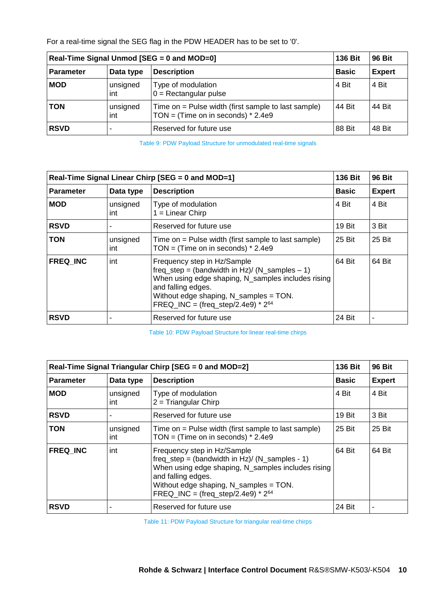For a real-time signal the SEG flag in the PDW HEADER has to be set to '0'.

|                  | Real-Time Signal Unmod [SEG = 0 and MOD=0] |                                                                                             |              | <b>96 Bit</b> |
|------------------|--------------------------------------------|---------------------------------------------------------------------------------------------|--------------|---------------|
| <b>Parameter</b> | Data type                                  | <b>Description</b>                                                                          | <b>Basic</b> | <b>Expert</b> |
| <b>MOD</b>       | unsigned<br>int                            | Type of modulation<br>$0 =$ Rectangular pulse                                               | 4 Bit        | 4 Bit         |
| <b>TON</b>       | unsigned<br>int                            | Time on = Pulse width (first sample to last sample)<br>TON = (Time on in seconds) $*$ 2.4e9 | 44 Bit       | 44 Bit        |
| <b>RSVD</b>      |                                            | Reserved for future use                                                                     | 88 Bit       | 48 Bit        |

Table 9: PDW Payload Structure for unmodulated real-time signals

<span id="page-9-0"></span>

|                  |                 | Real-Time Signal Linear Chirp [SEG = 0 and MOD=1]                                                                                                                                                                                                 | <b>136 Bit</b> | <b>96 Bit</b>  |
|------------------|-----------------|---------------------------------------------------------------------------------------------------------------------------------------------------------------------------------------------------------------------------------------------------|----------------|----------------|
| <b>Parameter</b> | Data type       | <b>Description</b>                                                                                                                                                                                                                                | <b>Basic</b>   | <b>Expert</b>  |
| <b>MOD</b>       | unsigned<br>int | Type of modulation<br>$1 =$ Linear Chirp                                                                                                                                                                                                          | 4 Bit          | 4 Bit          |
| <b>RSVD</b>      |                 | Reserved for future use                                                                                                                                                                                                                           | 19 Bit         | 3 Bit          |
| <b>TON</b>       | unsigned<br>int | Time on = Pulse width (first sample to last sample)<br>25 Bit<br>TON = (Time on in seconds) $*$ 2.4e9                                                                                                                                             |                | 25 Bit         |
| <b>FREQ INC</b>  | int             | Frequency step in Hz/Sample<br>freq_step = (bandwidth in Hz)/ (N_samples $-1$ )<br>When using edge shaping, N_samples includes rising<br>and falling edges.<br>Without edge shaping, N_samples = TON.<br>FREQ_INC = $(freq\_step/2.4e9) * 2^{64}$ | 64 Bit         | 64 Bit         |
| <b>RSVD</b>      |                 | Reserved for future use                                                                                                                                                                                                                           | 24 Bit         | $\blacksquare$ |

Table 10: PDW Payload Structure for linear real-time chirps

<span id="page-9-1"></span>

|                  |                 | Real-Time Signal Triangular Chirp [SEG = 0 and MOD=2]                                                                                                                                                                                            | <b>136 Bit</b> | <b>96 Bit</b> |
|------------------|-----------------|--------------------------------------------------------------------------------------------------------------------------------------------------------------------------------------------------------------------------------------------------|----------------|---------------|
| <b>Parameter</b> | Data type       | <b>Description</b>                                                                                                                                                                                                                               | <b>Basic</b>   | <b>Expert</b> |
| <b>MOD</b>       | unsigned<br>int | Type of modulation<br>$2 = Triangular Chirp$                                                                                                                                                                                                     | 4 Bit          | 4 Bit         |
| <b>RSVD</b>      |                 | Reserved for future use                                                                                                                                                                                                                          | 19 Bit         | 3 Bit         |
| <b>TON</b>       | unsigned<br>int | Time on = Pulse width (first sample to last sample)<br>TON = (Time on in seconds) $*$ 2.4e9                                                                                                                                                      | 25 Bit         | 25 Bit        |
| <b>FREQ INC</b>  | int             | Frequency step in Hz/Sample<br>freq_step = $(bandwidth in Hz)/(N_samples - 1)$<br>When using edge shaping, N_samples includes rising<br>and falling edges.<br>Without edge shaping, N_samples = TON.<br>FREQ_INC = $(freq\_step/2.4e9) * 2^{64}$ | 64 Bit         | 64 Bit        |
| <b>RSVD</b>      |                 | Reserved for future use                                                                                                                                                                                                                          | 24 Bit         |               |

<span id="page-9-2"></span>Table 11: PDW Payload Structure for triangular real-time chirps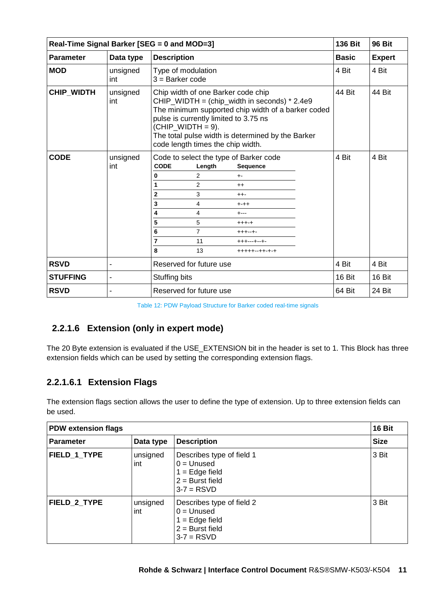|                  | Real-Time Signal Barker [SEG = 0 and MOD=3] |                                                                                                                                                                                                                                                                                                     |        |              |               |
|------------------|---------------------------------------------|-----------------------------------------------------------------------------------------------------------------------------------------------------------------------------------------------------------------------------------------------------------------------------------------------------|--------|--------------|---------------|
| <b>Parameter</b> | Data type                                   | <b>Description</b>                                                                                                                                                                                                                                                                                  |        | <b>Basic</b> | <b>Expert</b> |
| <b>MOD</b>       | unsigned<br>int                             | Type of modulation<br>$3 =$ Barker code                                                                                                                                                                                                                                                             | 4 Bit  | 4 Bit        |               |
| CHIP_WIDTH       | unsigned<br>int                             | Chip width of one Barker code chip<br>CHIP_WIDTH = (chip_width in seconds) * 2.4e9<br>The minimum supported chip width of a barker coded<br>pulse is currently limited to 3.75 ns<br>$(CHIP_WIDTH = 9)$ .<br>The total pulse width is determined by the Barker<br>code length times the chip width. | 44 Bit | 44 Bit       |               |
| <b>CODE</b>      | unsigned<br>int                             | Code to select the type of Barker code<br><b>CODE</b><br>Length<br>Sequence<br>2<br>0<br>$+ -$<br>2<br>1<br>$++$<br>$\overline{2}$<br>3<br>$+ + -$<br>3<br>4<br>$^{+++}$<br>4<br>4<br>$+ - -$<br>5<br>5<br>$++++-+$<br>6<br>7<br>$++++-+$<br>7<br>11<br>+++---+--+-<br>8<br>13<br>+++++--++-+-+     |        | 4 Bit        | 4 Bit         |
| <b>RSVD</b>      |                                             | Reserved for future use                                                                                                                                                                                                                                                                             |        | 4 Bit        | 4 Bit         |
| <b>STUFFING</b>  |                                             | Stuffing bits                                                                                                                                                                                                                                                                                       |        | 16 Bit       | 16 Bit        |
| <b>RSVD</b>      |                                             | Reserved for future use                                                                                                                                                                                                                                                                             |        | 64 Bit       | 24 Bit        |

|  |  | Table 12: PDW Payload Structure for Barker coded real-time signals |  |  |
|--|--|--------------------------------------------------------------------|--|--|
|  |  |                                                                    |  |  |

## <span id="page-10-0"></span>**2.2.1.6 Extension (only in expert mode)**

The 20 Byte extension is evaluated if the USE\_EXTENSION bit in the header is set to 1. This Block has three extension fields which can be used by setting the corresponding extension flags.

## **2.2.1.6.1 Extension Flags**

The extension flags section allows the user to define the type of extension. Up to three extension fields can be used.

| <b>PDW extension flags</b> |                 |                                                                                                    | 16 Bit      |
|----------------------------|-----------------|----------------------------------------------------------------------------------------------------|-------------|
| <b>Parameter</b>           | Data type       | <b>Description</b>                                                                                 | <b>Size</b> |
| FIELD_1_TYPE               | unsigned<br>int | Describes type of field 1<br>$0 =$ Unused<br>$1 = Edge field$<br>$2 =$ Burst field<br>$3-7 = RSVD$ | 3 Bit       |
| <b>FIELD 2 TYPE</b>        | unsigned<br>int | Describes type of field 2<br>$0 =$ Unused<br>$1 = Edge field$<br>$2 =$ Burst field<br>$3-7 = RSVD$ | 3 Bit       |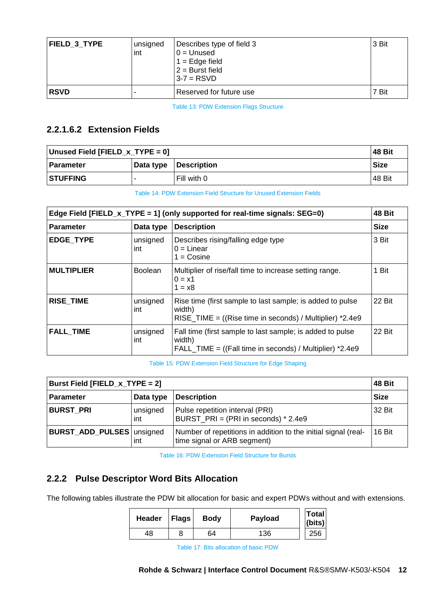| FIELD 3 TYPE | unsigned<br>int | Describes type of field 3<br>$0 =$ Unused<br>$1 = Edge field$<br>$2 =$ Burst field<br>$3-7 = RSVD$ | 3 Bit |
|--------------|-----------------|----------------------------------------------------------------------------------------------------|-------|
| <b>RSVD</b>  |                 | Reserved for future use                                                                            | 7 Bit |

Table 13: PDW Extension Flags Structure

## <span id="page-11-1"></span>**2.2.1.6.2 Extension Fields**

| Unused Field [FIELD_x_TYPE = 0] |           |                    | 48 Bit      |
|---------------------------------|-----------|--------------------|-------------|
| l Parameter                     | Data type | <b>Description</b> | <b>Size</b> |
| <b>STUFFING</b>                 |           | Fill with 0        | 148 Bit     |

Table 14: PDW Extension Field Structure for Unused Extension Fields

<span id="page-11-2"></span>

|                   |                 | Edge Field [FIELD_x_TYPE = 1] (only supported for real-time signals: $SEG=0$ )                                                    | 48 Bit      |
|-------------------|-----------------|-----------------------------------------------------------------------------------------------------------------------------------|-------------|
| <b>Parameter</b>  | Data type       | <b>Description</b>                                                                                                                | <b>Size</b> |
| <b>EDGE TYPE</b>  | unsigned<br>int | Describes rising/falling edge type<br>$0 =$ Linear<br>$1 = Cosine$                                                                | 3 Bit       |
| <b>MULTIPLIER</b> | <b>Boolean</b>  | Multiplier of rise/fall time to increase setting range.<br>$0 = x1$<br>$1 = x8$                                                   | 1 Bit       |
| RISE_TIME         | unsigned<br>int | Rise time (first sample to last sample; is added to pulse<br>width)<br>RISE TIME = $((Rise time in seconds) / Multiplier) *2.4e9$ | 22 Bit      |
| <b>FALL TIME</b>  | unsigned<br>int | Fall time (first sample to last sample; is added to pulse<br>width)<br>FALL TIME = $((Fall time in seconds) / Multiplier) *2.4e9$ | 22 Bit      |

#### Table 15: PDW Extension Field Structure for Edge Shaping

<span id="page-11-3"></span>

| Burst Field [FIELD_x_TYPE = 2]                      |                 |                                                                                               | <b>48 Bit</b> |
|-----------------------------------------------------|-----------------|-----------------------------------------------------------------------------------------------|---------------|
| <b>Description</b><br><b>Parameter</b><br>Data type |                 |                                                                                               | <b>Size</b>   |
| <b>BURST PRI</b>                                    | unsigned<br>int | Pulse repetition interval (PRI)<br>BURST PRI = $(PRI in seconds) * 2.4e9$                     | 32 Bit        |
| BURST_ADD_PULSES   unsigned                         | int             | Number of repetitions in addition to the initial signal (real-<br>time signal or ARB segment) | 16 Bit        |

Table 16: PDW Extension Field Structure for Bursts

## <span id="page-11-4"></span><span id="page-11-0"></span>**2.2.2 Pulse Descriptor Word Bits Allocation**

<span id="page-11-5"></span>The following tables illustrate the PDW bit allocation for basic and expert PDWs without and with extensions.

| Header | <b>Flags</b> | <b>Body</b> | Payload | <b>Total</b><br>$ $ (bits) |
|--------|--------------|-------------|---------|----------------------------|
| 48     | 8            | 64          | 136     | 256                        |

Table 17: Bits allocation of basic PDW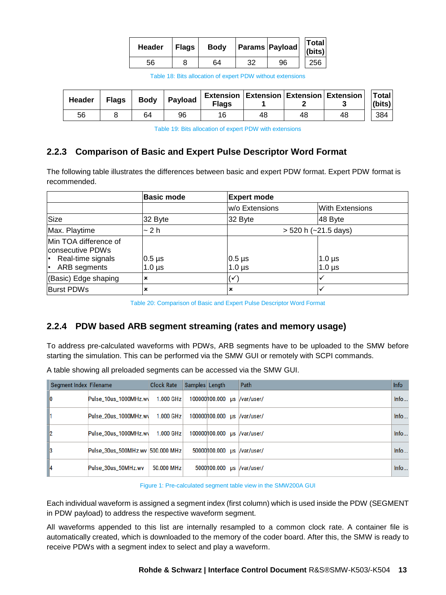| <b>Header</b> | <b>Flags</b> | <b>Body</b> | <b>Params Payload</b> | <b>Total</b><br>(bits) |
|---------------|--------------|-------------|-----------------------|------------------------|
| 56            |              | 64          | 96                    | 256                    |

|  |  | Table 18: Bits allocation of expert PDW without extensions |  |
|--|--|------------------------------------------------------------|--|
|--|--|------------------------------------------------------------|--|

<span id="page-12-2"></span>

| Header | <b>Flags</b> | <b>Body</b> | Payload | <b>Flags</b> |    |    | <b>Extension   Extension   Extension   Extension  </b> | <b>Total</b><br>(bits) |
|--------|--------------|-------------|---------|--------------|----|----|--------------------------------------------------------|------------------------|
| 56     |              | 64          | 96      | 16           | 48 | 48 | 48                                                     | 384                    |

Table 19: Bits allocation of expert PDW with extensions

#### <span id="page-12-3"></span><span id="page-12-0"></span>**2.2.3 Comparison of Basic and Expert Pulse Descriptor Word Format**

The following table illustrates the differences between basic and expert PDW format. Expert PDW format is recommended.

|                                                                                                   | <b>Basic mode</b>                       | <b>Expert mode</b>           |                                |
|---------------------------------------------------------------------------------------------------|-----------------------------------------|------------------------------|--------------------------------|
|                                                                                                   |                                         | w/o Extensions               | <b>With Extensions</b>         |
| Size                                                                                              | 32 Byte                                 | 32 Byte                      | 48 Byte                        |
| Max. Playtime                                                                                     | ~ 2 h                                   |                              | $> 520$ h ( $\sim$ 21.5 days)  |
| Min TOA difference of<br>consecutive PDWs<br>Real-time signals<br>$\bullet$<br>ARB segments<br>I۰ | $0.5 \,\mathrm{\mu s}$<br>$1.0 \,\mu s$ | $0.5 \,\mu s$<br>1.0 $\mu$ s | $1.0 \,\mu s$<br>$1.0 \,\mu s$ |
| (Basic) Edge shaping                                                                              | $\boldsymbol{\mathsf{x}}$               | ✓                            |                                |
| <b>Burst PDWs</b>                                                                                 | ×                                       | ×                            |                                |

Table 20: Comparison of Basic and Expert Pulse Descriptor Word Format

#### <span id="page-12-4"></span><span id="page-12-1"></span>**2.2.4 PDW based ARB segment streaming (rates and memory usage)**

To address pre-calculated waveforms with PDWs, ARB segments have to be uploaded to the SMW before starting the simulation. This can be performed via the SMW GUI or remotely with SCPI commands.

| A table showing all preloaded segments can be accessed via the SMW GUI. |  |
|-------------------------------------------------------------------------|--|
|-------------------------------------------------------------------------|--|

| Segment Index Filename |                                  | <b>Clock Rate</b> | Samples Length |                              | Path | Info |
|------------------------|----------------------------------|-------------------|----------------|------------------------------|------|------|
| 10                     | Pulse_10us_1000MHz.wv            | 1.000 GHz         |                | 100000100.000 us //var/user/ |      | Info |
|                        | Pulse_20us_1000MHz.wv            | 1.000 GHz         |                | 100000100.000 us //var/user/ |      | Info |
| $\mathbf{2}$           | Pulse 30us 1000MHz.wy            | $1.000$ GHz       |                | 100000100.000 us //var/user/ |      | Info |
| $\vert$ 3              | Pulse_30us_500MHz.wv 500.000 MHz |                   |                | 50000100.000 us /var/user/   |      | Info |
| <b>4</b>               | Pulse_30us_50MHz.wv              | 50,000 MHz        |                | 5000100.000 us //var/user/   |      | Info |

Figure 1: Pre-calculated segment table view in the SMW200A GUI

Each individual waveform is assigned a segment index (first column) which is used inside the PDW (SEGMENT in PDW payload) to address the respective waveform segment.

All waveforms appended to this list are internally resampled to a common clock rate. A container file is automatically created, which is downloaded to the memory of the coder board. After this, the SMW is ready to receive PDWs with a segment index to select and play a waveform.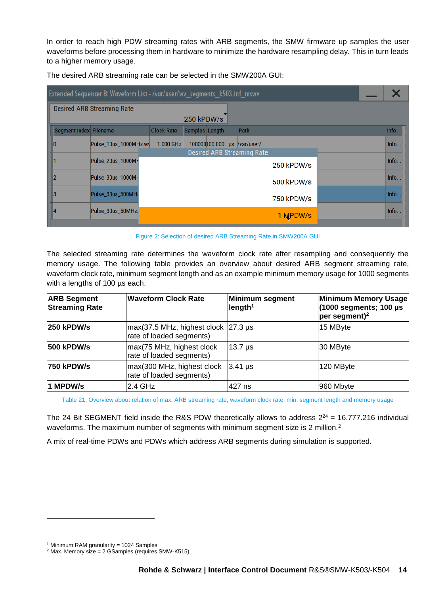In order to reach high PDW streaming rates with ARB segments, the SMW firmware up samples the user waveforms before processing them in hardware to minimize the hardware resampling delay. This in turn leads to a higher memory usage.

| Extended Sequencer B: Waveform List - /var/user/wv_segments_k503.inf_mswv |                                   |                   |                |               |                                   |            |  |             |
|---------------------------------------------------------------------------|-----------------------------------|-------------------|----------------|---------------|-----------------------------------|------------|--|-------------|
|                                                                           | <b>Desired ARB Streaming Rate</b> |                   |                |               |                                   |            |  |             |
|                                                                           |                                   |                   | 250 kPDW/s     |               |                                   |            |  |             |
| Segment Index Filename                                                    |                                   | <b>Clock Rate</b> | Samples Length |               | Path                              |            |  | <b>Info</b> |
| 10                                                                        | Pulse_10us_1000MHz.wv             | 1.000 GHz         |                | 100000100.000 | us /var/user/                     |            |  | Info        |
|                                                                           |                                   |                   |                |               | <b>Desired ARB Streaming Rate</b> |            |  |             |
|                                                                           | Pulse_20us_1000MH                 |                   |                |               |                                   | 250 kPDW/s |  | Info        |
| l2                                                                        | Pulse_30us_1000MH                 |                   |                |               |                                   | 500 kPDW/s |  | Info        |
|                                                                           |                                   |                   |                |               |                                   |            |  |             |
| 3                                                                         | Pulse_30us_500MH;                 |                   |                |               |                                   | 750 kPDW/s |  | Info        |
| 14                                                                        | Pulse_30us_50MHz.                 |                   |                |               |                                   |            |  | Info        |
|                                                                           |                                   |                   |                |               |                                   | 1 MPDW/s   |  |             |

The desired ARB streaming rate can be selected in the SMW200A GUI:

<span id="page-13-1"></span>Figure 2: Selection of desired ARB Streaming Rate in SMW200A GUI

The selected streaming rate determines the waveform clock rate after resampling and consequently the memory usage. The following table provides an overview about desired ARB segment streaming rate, waveform clock rate, minimum segment length and as an example minimum memory usage for 1000 segments with a lengths of 100 µs each.

| <b>ARB Segment</b><br><b>Streaming Rate</b> | <b>Waveform Clock Rate</b>                                                                  | Minimum segment<br>length <sup>1</sup> | <b>Minimum Memory Usage</b><br>$(1000$ segments; 100 µs<br>$per$ segment) <sup>2</sup> |
|---------------------------------------------|---------------------------------------------------------------------------------------------|----------------------------------------|----------------------------------------------------------------------------------------|
| <b>250 kPDW/s</b>                           | $max(37.5 \text{ MHz}, \text{highest clock }  27.3 \text{ µs})$<br>rate of loaded segments) |                                        | 15 MByte                                                                               |
| 500 kPDW/s                                  | max(75 MHz, highest clock<br>rate of loaded segments)                                       | 13.7 µs                                | 30 MByte                                                                               |
| 750 kPDW/s                                  | max(300 MHz, highest clock<br>rate of loaded segments)                                      | $3.41 \,\mu s$                         | 120 MByte                                                                              |
| 1 MPDW/s                                    | 2.4 GHz                                                                                     | 427 ns                                 | 960 Mbyte                                                                              |

<span id="page-13-0"></span>Table 21: Overview about relation of max. ARB streaming rate, waveform clock rate, min. segment length and memory usage

The 24 Bit SEGMENT field inside the R&S PDW theoretically allows to address  $2^{24}$  = 16.777.216 individual waveforms. The maximum number of segments with minimum segment size is [2](#page-13-1) million.<sup>2</sup>

A mix of real-time PDWs and PDWs which address ARB segments during simulation is supported.

l

<sup>1</sup> Minimum RAM granularity = 1024 Samples

 $2$  Max. Memory size = 2 GSamples (requires SMW-K515)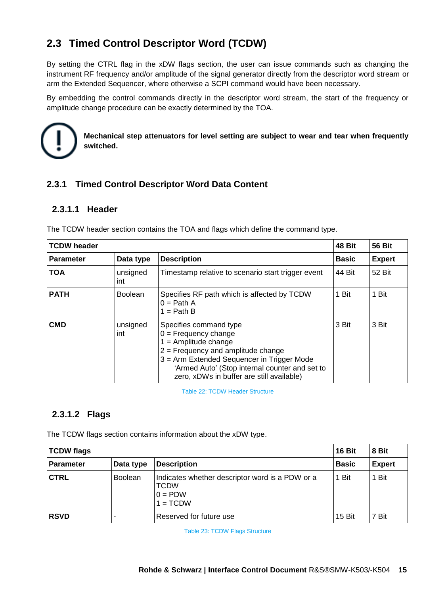# <span id="page-14-0"></span>**2.3 Timed Control Descriptor Word (TCDW)**

By setting the CTRL flag in the xDW flags section, the user can issue commands such as changing the instrument RF frequency and/or amplitude of the signal generator directly from the descriptor word stream or arm the Extended Sequencer, where otherwise a SCPI command would have been necessary.

By embedding the control commands directly in the descriptor word stream, the start of the frequency or amplitude change procedure can be exactly determined by the TOA.



**Mechanical step attenuators for level setting are subject to wear and tear when frequently switched.**

#### <span id="page-14-1"></span>**2.3.1 Timed Control Descriptor Word Data Content**

#### **2.3.1.1 Header**

The TCDW header section contains the TOA and flags which define the command type.

| <b>TCDW header</b> | 48 Bit          |                                                                                                                                                                                                                                                                 |        |        |  |
|--------------------|-----------------|-----------------------------------------------------------------------------------------------------------------------------------------------------------------------------------------------------------------------------------------------------------------|--------|--------|--|
| <b>Parameter</b>   | <b>Basic</b>    | <b>Expert</b>                                                                                                                                                                                                                                                   |        |        |  |
| TOA                | unsigned<br>int | Timestamp relative to scenario start trigger event                                                                                                                                                                                                              | 44 Bit | 52 Bit |  |
| <b>PATH</b>        | <b>Boolean</b>  | Specifies RF path which is affected by TCDW<br>$0 =$ Path A<br>$1 =$ Path B                                                                                                                                                                                     | 1 Bit  | 1 Bit  |  |
| <b>CMD</b>         | unsigned<br>int | Specifies command type<br>$0 =$ Frequency change<br>$1 =$ Amplitude change<br>$2$ = Frequency and amplitude change<br>3 = Arm Extended Sequencer in Trigger Mode<br>'Armed Auto' (Stop internal counter and set to<br>zero, xDWs in buffer are still available) | 3 Bit  | 3 Bit  |  |

Table 22: TCDW Header Structure

#### <span id="page-14-2"></span>**2.3.1.2 Flags**

The TCDW flags section contains information about the xDW type.

<span id="page-14-3"></span>

| <b>TCDW flags</b> | <b>16 Bit</b>  | 8 Bit                                                                                     |              |               |
|-------------------|----------------|-------------------------------------------------------------------------------------------|--------------|---------------|
| Parameter         | Data type      | <b>Description</b>                                                                        | <b>Basic</b> | <b>Expert</b> |
| <b>CTRL</b>       | <b>Boolean</b> | Indicates whether descriptor word is a PDW or a<br><b>TCDW</b><br>$0 = PDW$<br>$1 = TCDW$ | 1 Bit        | 1 Bit         |
| <b>RSVD</b>       |                | Reserved for future use                                                                   | 15 Bit       | 7 Bit         |

Table 23: TCDW Flags Structure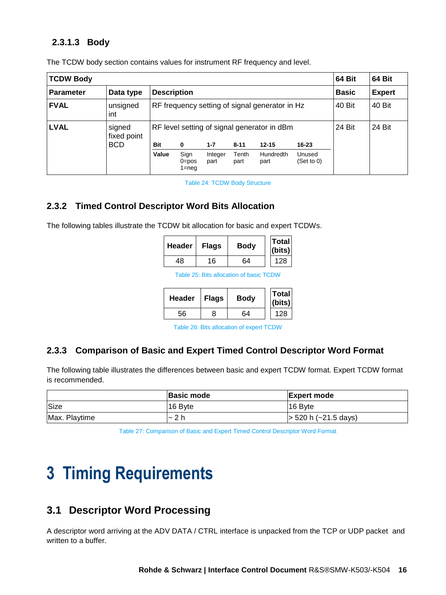#### **2.3.1.3 Body**

| <b>TCDW Body</b> |                       |                    |                                                |                 |               |                   |                      | 64 Bit | 64 Bit |
|------------------|-----------------------|--------------------|------------------------------------------------|-----------------|---------------|-------------------|----------------------|--------|--------|
| <b>Parameter</b> | Data type             | <b>Description</b> |                                                | <b>Basic</b>    | <b>Expert</b> |                   |                      |        |        |
| <b>FVAL</b>      | unsigned<br>int       |                    | RF frequency setting of signal generator in Hz |                 |               |                   |                      | 40 Bit | 40 Bit |
| <b>LVAL</b>      | signed<br>fixed point |                    | RF level setting of signal generator in dBm    |                 |               |                   |                      |        | 24 Bit |
|                  | <b>BCD</b>            | <b>Bit</b>         | $\bf{0}$                                       | $1 - 7$         | $8 - 11$      | $12 - 15$         | $16 - 23$            |        |        |
|                  |                       | Value              | Sign<br>$0 = pos$<br>$1 = neq$                 | Integer<br>part | Tenth<br>part | Hundredth<br>part | Unused<br>(Set to 0) |        |        |

The TCDW body section contains values for instrument RF frequency and level.

Table 24: TCDW Body Structure

#### <span id="page-15-4"></span><span id="page-15-0"></span>**2.3.2 Timed Control Descriptor Word Bits Allocation**

<span id="page-15-5"></span>The following tables illustrate the TCDW bit allocation for basic and expert TCDWs.

| <b>Header</b> | <b>Flags</b> | <b>Body</b> | Total<br>(bits) |
|---------------|--------------|-------------|-----------------|
| 48            | 16           | 64          | 128             |

Table 25: Bits allocation of basic TCDW

| <b>Header</b> | <b>Flags</b> | <b>Body</b> | <b>Total</b><br>(bits) |
|---------------|--------------|-------------|------------------------|
| 56            | 8            | 64          | 128                    |

Table 26: Bits allocation of expert TCDW

#### <span id="page-15-6"></span><span id="page-15-1"></span>**2.3.3 Comparison of Basic and Expert Timed Control Descriptor Word Format**

The following table illustrates the differences between basic and expert TCDW format. Expert TCDW format is recommended.

<span id="page-15-7"></span>

|               | <b>Basic mode</b>  | <b>Expert mode</b>           |
|---------------|--------------------|------------------------------|
| Size          | 16 Byte            | 16 Byte                      |
| Max. Playtime | -2 h<br>$\tilde{}$ | $\vert$ > 520 h (~21.5 days) |

Table 27: Comparison of Basic and Expert Timed Control Descriptor Word Format

# <span id="page-15-2"></span>**3 Timing Requirements**

## <span id="page-15-3"></span>**3.1 Descriptor Word Processing**

A descriptor word arriving at the ADV DATA / CTRL interface is unpacked from the TCP or UDP packet and written to a buffer.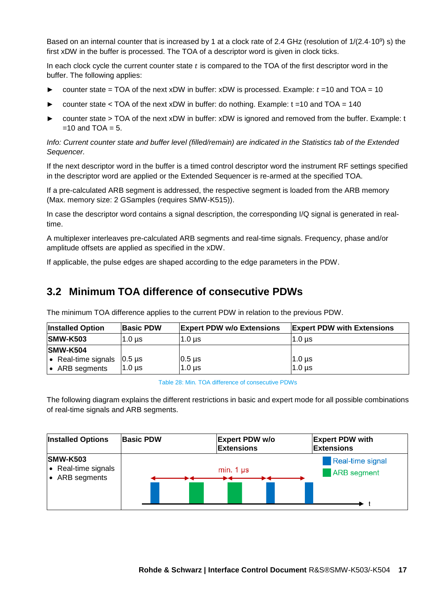Based on an internal counter that is increased by 1 at a clock rate of 2.4 GHz (resolution of 1/(2.4·10<sup>9</sup>) s) the first xDW in the buffer is processed. The TOA of a descriptor word is given in clock ticks.

In each clock cycle the current counter state  $t$  is compared to the TOA of the first descriptor word in the buffer. The following applies:

- counter state = TOA of the next xDW in buffer:  $xDW$  is processed. Example:  $t = 10$  and TOA = 10
- counter state  $<$  TOA of the next xDW in buffer: do nothing. Example:  $t = 10$  and TOA = 140
- counter state > TOA of the next xDW in buffer: xDW is ignored and removed from the buffer. Example: t  $=10$  and TOA  $= 5$ .

*Info: Current counter state and buffer level (filled/remain) are indicated in the Statistics tab of the Extended Sequencer.*

If the next descriptor word in the buffer is a timed control descriptor word the instrument RF settings specified in the descriptor word are applied or the Extended Sequencer is re-armed at the specified TOA.

If a pre-calculated ARB segment is addressed, the respective segment is loaded from the ARB memory (Max. memory size: 2 GSamples (requires SMW-K515)).

In case the descriptor word contains a signal description, the corresponding I/Q signal is generated in realtime.

A multiplexer interleaves pre-calculated ARB segments and real-time signals. Frequency, phase and/or amplitude offsets are applied as specified in the xDW.

<span id="page-16-0"></span>If applicable, the pulse edges are shaped according to the edge parameters in the PDW.

## **3.2 Minimum TOA difference of consecutive PDWs**

| <b>Installed Option</b>                   | <b>Basic PDW</b> | <b>Expert PDW w/o Extensions</b> | <b>Expert PDW with Extensions</b> |
|-------------------------------------------|------------------|----------------------------------|-----------------------------------|
| <b>SMW-K503</b>                           | $1.0 \text{ us}$ | l1.0 us                          | 1.0 <sub>us</sub>                 |
| <b>SMW-K504</b>                           |                  |                                  |                                   |
| • Real-time signals $\left 0.5\right $ ps |                  | $0.5 \,\mu s$                    | $1.0 \,\mu s$                     |
| • ARB segments                            | $1.0 \,\mu s$    | $1.0 \,\mu s$                    | 1.0 us                            |

The minimum TOA difference applies to the current PDW in relation to the previous PDW.

Table 28: Min. TOA difference of consecutive PDWs

<span id="page-16-1"></span>The following diagram explains the different restrictions in basic and expert mode for all possible combinations of real-time signals and ARB segments.

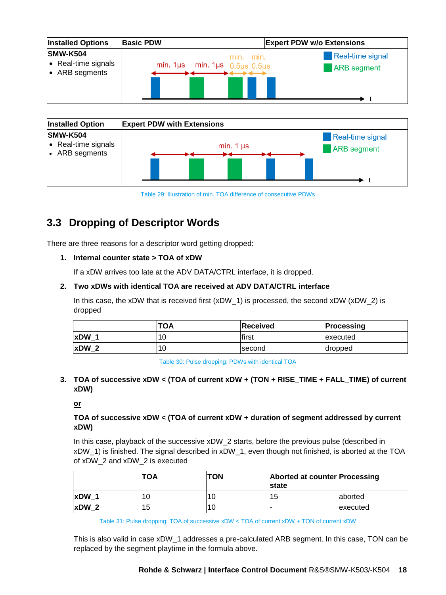| <b>Installed Options</b>                                 | <b>Basic PDW</b>                         | <b>Expert PDW w/o Extensions</b>                           |
|----------------------------------------------------------|------------------------------------------|------------------------------------------------------------|
| <b>SMW-K504</b><br>• Real-time signals<br>• ARB segments | min. 1µs min. 1µs $0.5\mu s$ 0.5 $\mu s$ | <b>Real-time signal</b><br>min. min.<br><b>ARB</b> segment |



Table 29: Illustration of min. TOA difference of consecutive PDWs

# <span id="page-17-1"></span><span id="page-17-0"></span>**3.3 Dropping of Descriptor Words**

There are three reasons for a descriptor word getting dropped:

#### **1. Internal counter state > TOA of xDW**

If a xDW arrives too late at the ADV DATA/CTRL interface, it is dropped.

#### **2. Two xDWs with identical TOA are received at ADV DATA/CTRL interface**

In this case, the xDW that is received first (xDW  $\,$  1) is processed, the second xDW (xDW  $\,$  2) is dropped

|                  | <b>TOA</b> | Received | <b>Processing</b> |
|------------------|------------|----------|-------------------|
| xDW 1            | 10         | first    | executed          |
| $\mathsf{xDW}$ 2 | 10         | second   | dropped           |

Table 30: Pulse dropping: PDWs with identical TOA

#### <span id="page-17-2"></span>**3. TOA of successive xDW < (TOA of current xDW + (TON + RISE\_TIME + FALL\_TIME) of current xDW)**

#### **or**

#### **TOA of successive xDW < (TOA of current xDW + duration of segment addressed by current xDW)**

In this case, playback of the successive xDW 2 starts, before the previous pulse (described in xDW\_1) is finished. The signal described in xDW\_1, even though not finished, is aborted at the TOA of xDW\_2 and xDW\_2 is executed

|             | <b>TOA</b> | <b>TON</b> | Aborted at counter Processing<br><b>Istate</b> |          |
|-------------|------------|------------|------------------------------------------------|----------|
| <b>xDW</b>  | 10         |            | 15                                             | laborted |
| <b>xDW2</b> | 15         |            |                                                | executed |

Table 31: Pulse dropping: TOA of successive xDW < TOA of current xDW + TON of current xDW

<span id="page-17-3"></span>This is also valid in case xDW\_1 addresses a pre-calculated ARB segment. In this case, TON can be replaced by the segment playtime in the formula above.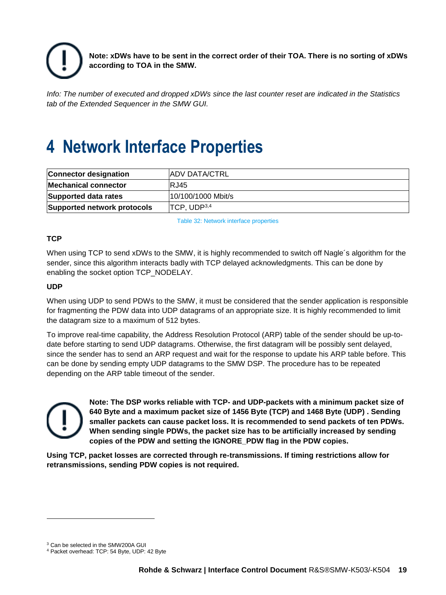

**Note: xDWs have to be sent in the correct order of their TOA. There is no sorting of xDWs according to TOA in the SMW.**

*Info: The number of executed and dropped xDWs since the last counter reset are indicated in the Statistics tab of the Extended Sequencer in the SMW GUI.*

# <span id="page-18-0"></span>**4 Network Interface Properties**

| <b>Connector designation</b> | <b>ADV DATA/CTRL</b>    |
|------------------------------|-------------------------|
| <b>Mechanical connector</b>  | IRJ45                   |
| Supported data rates         | 10/100/1000 Mbit/s      |
| Supported network protocols  | TCP, UDP <sup>3,4</sup> |

Table 32: Network interface properties

#### <span id="page-18-1"></span>**TCP**

When using TCP to send xDWs to the SMW, it is highly recommended to switch off Nagle's algorithm for the sender, since this algorithm interacts badly with TCP delayed acknowledgments. This can be done by enabling the socket option TCP\_NODELAY.

#### **UDP**

When using UDP to send PDWs to the SMW, it must be considered that the sender application is responsible for fragmenting the PDW data into UDP datagrams of an appropriate size. It is highly recommended to limit the datagram size to a maximum of 512 bytes.

To improve real-time capability, the Address Resolution Protocol (ARP) table of the sender should be up-todate before starting to send UDP datagrams. Otherwise, the first datagram will be possibly sent delayed, since the sender has to send an ARP request and wait for the response to update his ARP table before. This can be done by sending empty UDP datagrams to the SMW DSP. The procedure has to be repeated depending on the ARP table timeout of the sender.



l

**Note: The DSP works reliable with TCP- and UDP-packets with a minimum packet size of 640 Byte and a maximum packet size of 1456 Byte (TCP) and 1468 Byte (UDP) . Sending smaller packets can cause packet loss. It is recommended to send packets of ten PDWs. When sending single PDWs, the packet size has to be artificially increased by sending copies of the PDW and setting the IGNORE\_PDW flag in the PDW copies.** 

**Using TCP, packet losses are corrected through re-transmissions. If timing restrictions allow for retransmissions, sending PDW copies is not required.**

<sup>3</sup> Can be selected in the SMW200A GUI

<sup>4</sup> Packet overhead: TCP: 54 Byte, UDP: 42 Byte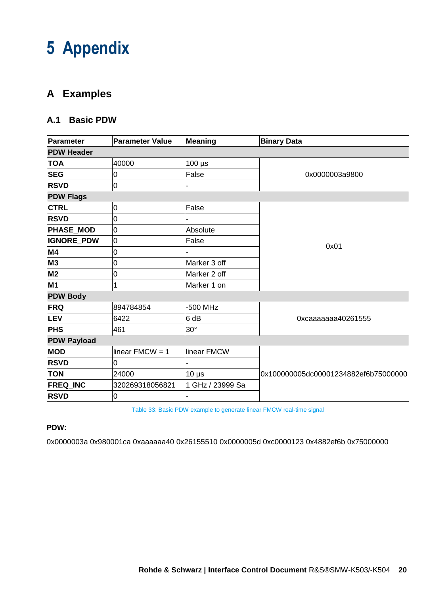# <span id="page-19-0"></span>**5 Appendix**

# <span id="page-19-1"></span>**A Examples**

### <span id="page-19-2"></span>**A.1 Basic PDW**

| <b>Parameter</b>   | <b>Parameter Value</b> | <b>Meaning</b>   | <b>Binary Data</b>                   |  |
|--------------------|------------------------|------------------|--------------------------------------|--|
| <b>PDW Header</b>  |                        |                  |                                      |  |
| <b>TOA</b>         | 40000                  | $100 \mu s$      |                                      |  |
| <b>SEG</b>         | 0                      | False            | 0x0000003a9800                       |  |
| <b>RSVD</b>        | $\overline{0}$         |                  |                                      |  |
| <b>PDW Flags</b>   |                        |                  |                                      |  |
| <b>CTRL</b>        | $\overline{0}$         | False            |                                      |  |
| <b>RSVD</b>        | 0                      |                  |                                      |  |
| <b>PHASE_MOD</b>   | 0                      | Absolute         |                                      |  |
| <b>IGNORE_PDW</b>  | $\overline{0}$         | False            |                                      |  |
| M4                 | 0                      |                  | 0x01                                 |  |
| <b>M3</b>          | 0                      | Marker 3 off     |                                      |  |
| M <sub>2</sub>     | $\overline{0}$         | Marker 2 off     |                                      |  |
| <b>M1</b>          | 1                      | Marker 1 on      |                                      |  |
| <b>PDW Body</b>    |                        |                  |                                      |  |
| <b>FRQ</b>         | 894784854              | -500 MHz         |                                      |  |
| LEV                | 6422                   | 6 dB             | 0xcaaaaaaa40261555                   |  |
| <b>PHS</b>         | 461                    | $30^\circ$       |                                      |  |
| <b>PDW Payload</b> |                        |                  |                                      |  |
| <b>MOD</b>         | linear $FMCW = 1$      | linear FMCW      |                                      |  |
| <b>RSVD</b>        | 0                      |                  |                                      |  |
| <b>TON</b>         | 24000                  | $10 \mu s$       | 0x100000005dc00001234882ef6b75000000 |  |
| <b>FREQ_INC</b>    | 320269318056821        | 1 GHz / 23999 Sa |                                      |  |
| <b>RSVD</b>        | $\overline{0}$         |                  |                                      |  |

Table 33: Basic PDW example to generate linear FMCW real-time signal

#### <span id="page-19-3"></span>**PDW:**

0x0000003a 0x980001ca 0xaaaaaa40 0x26155510 0x0000005d 0xc0000123 0x4882ef6b 0x75000000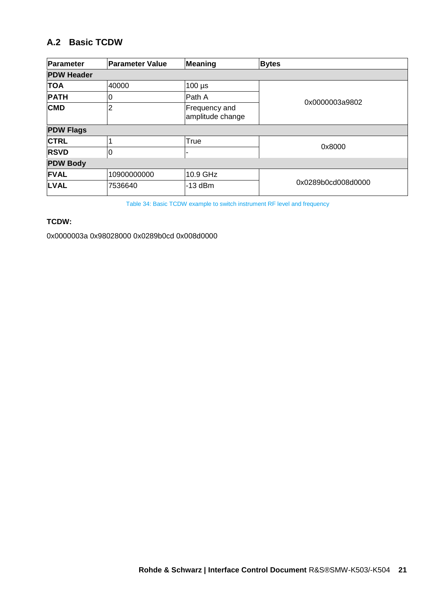## <span id="page-20-0"></span>**A.2 Basic TCDW**

| Parameter         | <b>Parameter Value</b> | Meaning                           | <b>Bytes</b>       |  |
|-------------------|------------------------|-----------------------------------|--------------------|--|
| <b>PDW Header</b> |                        |                                   |                    |  |
| <b>TOA</b>        | 40000                  | $100 \mu s$                       |                    |  |
| <b>PATH</b>       | 0                      | Path A                            | 0x0000003a9802     |  |
| <b>CMD</b>        | 2                      | Frequency and<br>amplitude change |                    |  |
| <b>PDW Flags</b>  |                        |                                   |                    |  |
| <b>CTRL</b>       |                        | True                              |                    |  |
| <b>RSVD</b>       | 0                      |                                   | 0x8000             |  |
| <b>PDW Body</b>   |                        |                                   |                    |  |
| <b>IFVAL</b>      | 10900000000            | 10.9 GHz                          |                    |  |
| <b>LVAL</b>       | 7536640                | -13 dBm                           | 0x0289b0cd008d0000 |  |

Table 34: Basic TCDW example to switch instrument RF level and frequency

#### <span id="page-20-1"></span>**TCDW:**

0x0000003a 0x98028000 0x0289b0cd 0x008d0000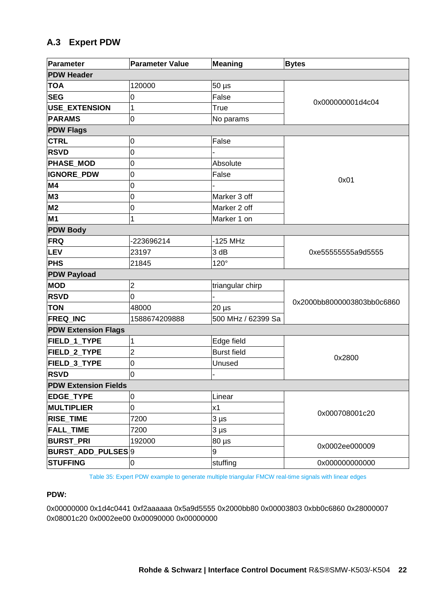## <span id="page-21-0"></span>**A.3 Expert PDW**

| Parameter                   | <b>Parameter Value</b>  | <b>Meaning</b>        | <b>Bytes</b>               |
|-----------------------------|-------------------------|-----------------------|----------------------------|
| <b>PDW Header</b>           |                         |                       |                            |
| <b>TOA</b>                  | 120000                  | $50 \,\mathrm{\mu s}$ |                            |
| <b>SEG</b>                  | 0                       | False                 | 0x000000001d4c04           |
| <b>USE_EXTENSION</b>        | 1                       | True                  |                            |
| <b>PARAMS</b>               | O                       | No params             |                            |
| <b>PDW Flags</b>            |                         |                       |                            |
| <b>CTRL</b>                 | 0                       | False                 |                            |
| <b>RSVD</b>                 | 0                       |                       |                            |
| <b>PHASE_MOD</b>            | 0                       | Absolute              |                            |
| <b>IGNORE PDW</b>           | 0                       | False                 | 0x01                       |
| M4                          | 0                       |                       |                            |
| M <sub>3</sub>              | 0                       | Marker 3 off          |                            |
| M <sub>2</sub>              | 0                       | Marker 2 off          |                            |
| <b>M1</b>                   | 1                       | Marker 1 on           |                            |
| <b>PDW Body</b>             |                         |                       |                            |
| <b>FRQ</b>                  | 223696214               | $-125$ MHz            |                            |
| <b>LEV</b>                  | 23197                   | 3 dB                  | 0xe55555555a9d5555         |
| <b>PHS</b>                  | 21845                   | 120°                  |                            |
| <b>PDW Payload</b>          |                         |                       |                            |
| <b>MOD</b>                  | 2                       | triangular chirp      |                            |
| <b>RSVD</b>                 | 0                       |                       | 0x2000bb8000003803bb0c6860 |
| <b>TON</b>                  | 48000                   | $20 \mu s$            |                            |
| FREQ INC                    | 1588674209888           | 500 MHz / 62399 Sa    |                            |
| <b>PDW Extension Flags</b>  |                         |                       |                            |
| FIELD_1_TYPE                | 1                       | Edge field            |                            |
| FIELD_2_TYPE                | $\overline{\mathbf{c}}$ | <b>Burst field</b>    | 0x2800                     |
| FIELD_3_TYPE                | $\overline{0}$          | Unused                |                            |
| <b>RSVD</b>                 | <sup>0</sup>            |                       |                            |
| <b>PDW Extension Fields</b> |                         |                       |                            |
| EDGE_TYPE                   | 0                       | Linear                |                            |
| <b>MULTIPLIER</b>           | $\overline{0}$          | x1                    | 0x000708001c20             |
| RISE_TIME                   | 7200                    | $3 \mu s$             |                            |
| <b>FALL_TIME</b>            | 7200                    | $3 \mu s$             |                            |
| <b>BURST PRI</b>            | 192000                  | $80 \,\mathrm{\mu s}$ | 0x0002ee000009             |
| <b>BURST ADD PULSES</b> 9   |                         | 9                     |                            |
| <b>STUFFING</b>             | 0                       | stuffing              | 0x000000000000             |

Table 35: Expert PDW example to generate multiple triangular FMCW real-time signals with linear edges

#### <span id="page-21-1"></span>**PDW:**

0x00000000 0x1d4c0441 0xf2aaaaaa 0x5a9d5555 0x2000bb80 0x00003803 0xbb0c6860 0x28000007 0x08001c20 0x0002ee00 0x00090000 0x00000000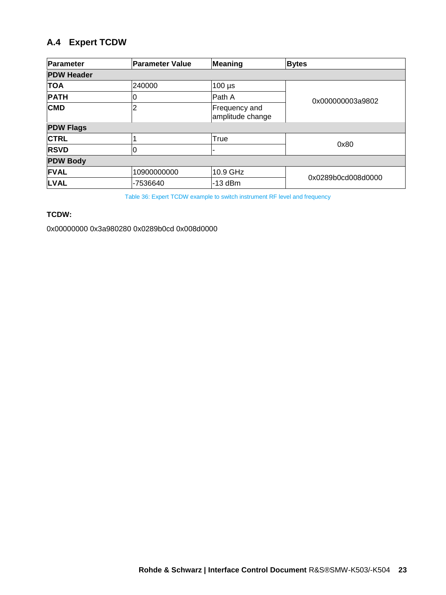# <span id="page-22-0"></span>**A.4 Expert TCDW**

| Parameter         | <b>Parameter Value</b> | Meaning                           | <b>Bytes</b>       |  |
|-------------------|------------------------|-----------------------------------|--------------------|--|
| <b>PDW Header</b> |                        |                                   |                    |  |
| <b>TOA</b>        | 240000                 | $100 \mu s$                       |                    |  |
| <b>PATH</b>       | U                      | Path A                            | 0x000000003a9802   |  |
| <b>CMD</b>        | 2                      | Frequency and<br>amplitude change |                    |  |
| <b>PDW Flags</b>  |                        |                                   |                    |  |
| <b>CTRL</b>       |                        | True                              |                    |  |
| <b>RSVD</b>       | 0                      |                                   | 0x80               |  |
| <b>PDW Body</b>   |                        |                                   |                    |  |
| <b>FVAL</b>       | 10900000000            | 10.9 GHz                          | 0x0289b0cd008d0000 |  |
| <b>LVAL</b>       | -7536640               | $-13$ dBm                         |                    |  |

Table 36: Expert TCDW example to switch instrument RF level and frequency

#### <span id="page-22-1"></span>**TCDW:**

0x00000000 0x3a980280 0x0289b0cd 0x008d0000